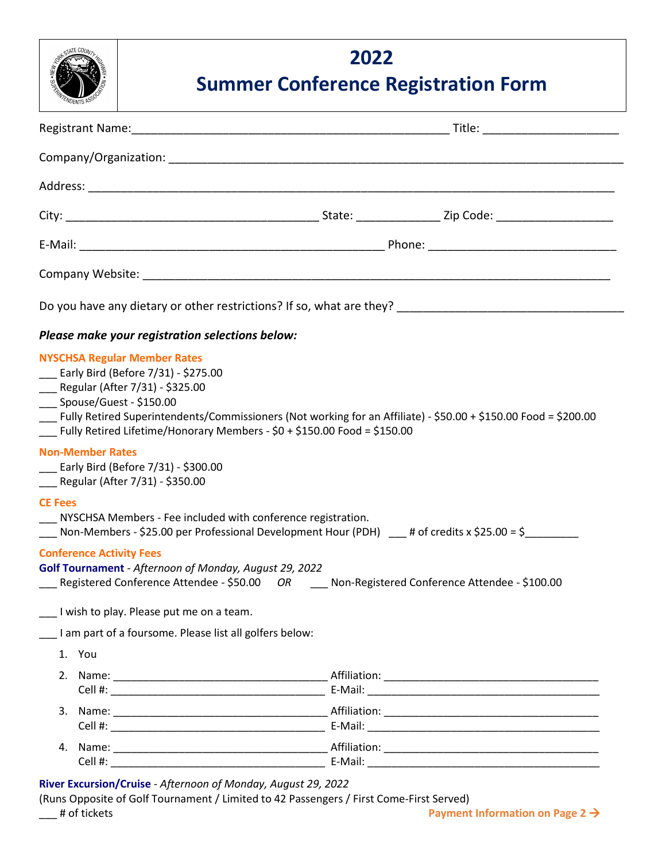

## **2022 Summer Conference Registration Form**

| Do you have any dietary or other restrictions? If so, what are they? _______________________________                                                                                                                                                                                                                                                |                                                                                                                                                                                                                                |
|-----------------------------------------------------------------------------------------------------------------------------------------------------------------------------------------------------------------------------------------------------------------------------------------------------------------------------------------------------|--------------------------------------------------------------------------------------------------------------------------------------------------------------------------------------------------------------------------------|
| Please make your registration selections below:                                                                                                                                                                                                                                                                                                     |                                                                                                                                                                                                                                |
| <b>NYSCHSA Regular Member Rates</b><br>__ Early Bird (Before 7/31) - \$275.00<br>___ Regular (After 7/31) - \$325.00<br>___ Spouse/Guest - \$150.00<br>Eully Retired Superintendents/Commissioners (Not working for an Affiliate) - \$50.00 + \$150.00 Food = \$200.00<br>Fully Retired Lifetime/Honorary Members - $$0 + $150.00$ Food = \$150.00  |                                                                                                                                                                                                                                |
| <b>Non-Member Rates</b><br>___ Early Bird (Before 7/31) - \$300.00<br>___ Regular (After 7/31) - \$350.00                                                                                                                                                                                                                                           |                                                                                                                                                                                                                                |
| <b>CE Fees</b><br>__ NYSCHSA Members - Fee included with conference registration.<br>Non-Members - \$25.00 per Professional Development Hour (PDH) $\phantom{0}$ # of credits x \$25.00 = \$                                                                                                                                                        |                                                                                                                                                                                                                                |
| <b>Conference Activity Fees</b><br>Golf Tournament - Afternoon of Monday, August 29, 2022<br>___ Registered Conference Attendee - \$50.00 OR ___ Non-Registered Conference Attendee - \$100.00<br>I wish to play. Please put me on a team.                                                                                                          |                                                                                                                                                                                                                                |
| I am part of a foursome. Please list all golfers below:<br>1. You                                                                                                                                                                                                                                                                                   |                                                                                                                                                                                                                                |
|                                                                                                                                                                                                                                                                                                                                                     | E-Mail: E-Mail: E-Mail: E-Mail: E-Mail: E-Mail: E-Mail: E-Mail: E-Mail: E-Mail: E-Mail: E-Mail: E-Mail: E-Mail: E-Mail: E-Mail: E-Mail: E-Mail: E-Mail: E-Mail: E-Mail: E-Mail: E-Mail: E-Mail: E-Mail: E-Mail: E-Mail: E-Mail |
|                                                                                                                                                                                                                                                                                                                                                     |                                                                                                                                                                                                                                |
| $\overline{a}$ , $\overline{a}$ , $\overline{a}$ , $\overline{a}$ , $\overline{a}$ , $\overline{a}$ , $\overline{a}$ , $\overline{a}$ , $\overline{a}$ , $\overline{a}$ , $\overline{a}$ , $\overline{a}$ , $\overline{a}$ , $\overline{a}$ , $\overline{a}$ , $\overline{a}$ , $\overline{a}$ , $\overline{a}$ , $\overline{a}$ , $\overline{a}$ , |                                                                                                                                                                                                                                |

**River Excursion/Cruise** - *Afternoon of Monday, August 29, 2022*

(Runs Opposite of Golf Tournament / Limited to 42 Passengers / First Come-First Served)